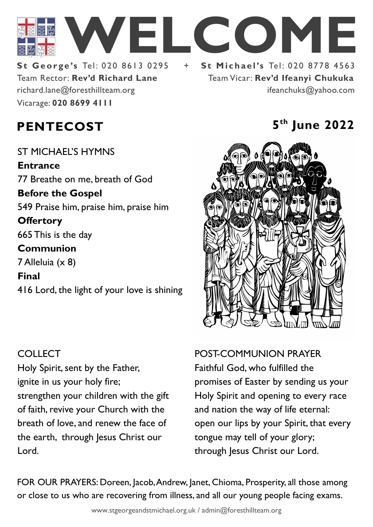

Team Rector: **Rev'd Richard Lane**  Vicarage: **020 8699 4111**  richard.lane@foresthillteam.org ifeanchuks@yahoo.com

# **St George's Tel: 020 8613 0295 + St Michael's Tel: 020 8778 4563** Team Vicar: **Rev'd Ifeanyi Chukuka**

### **PENTECOST 5**

ST MICHAEL'S HYMNS **Entrance** 77 Breathe on me, breath of God **Before the Gospel**  549 Praise him, praise him, praise him **Offertory**  665 This is the day **Communion**  7 Alleluia (x 8) **Final**  416 Lord, the light of your love is shining

### COLLECT

Holy Spirit, sent by the Father, ignite in us your holy fire; strengthen your children with the gift of faith, revive your Church with the breath of love, and renew the face of the earth, through Jesus Christ our Lord.

## **th June 2022**



POST-COMMUNION PRAYER Faithful God, who fulfilled the promises of Easter by sending us your Holy Spirit and opening to every race and nation the way of life eternal: open our lips by your Spirit, that every tongue may tell of your glory; through Jesus Christ our Lord.

FOR OUR PRAYERS: Doreen, Jacob, Andrew, Janet, Chioma, Prosperity, all those among or close to us who are recovering from illness, and all our young people facing exams.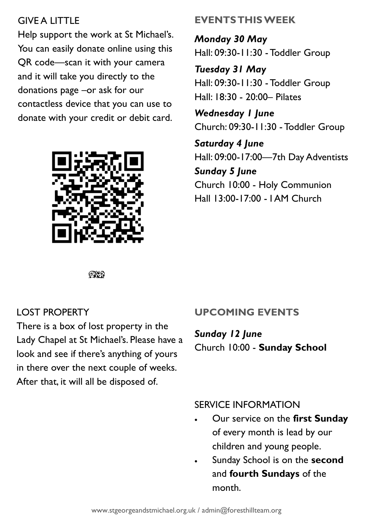#### **GIVE A LITTLE**

Help support the work at St Michael's. You can easily donate online using this QR code—scan it with your camera and it will take you directly to the donations page –or ask for our contactless device that you can use to donate with your credit or debit card.



#### **EVENTS THIS WEEK**

*Monday 30 May* Hall: 09:30-11:30 -Toddler Group

*Tuesday 31 May* Hall: 09:30-11:30 -Toddler Group Hall: 18:30 - 20:00– Pilates

*Wednesday 1 June* Church: 09:30-11:30 -Toddler Group

*Saturday 4 June* Hall: 09:00-17:00—7th Day Adventists *Sunday 5 June* Church 10:00 - Holy Communion Hall 13:00-17:00 - I AM Church

೧೪೧

#### LOST PROPERTY

There is a box of lost property in the Lady Chapel at St Michael's. Please have a look and see if there's anything of yours in there over the next couple of weeks. After that, it will all be disposed of.

#### **UPCOMING EVENTS**

*Sunday 12 June* Church 10:00 - **Sunday School**

#### SERVICE INFORMATION

- Our service on the **first Sunday** of every month is lead by our children and young people.
- Sunday School is on the **second**  and **fourth Sundays** of the month.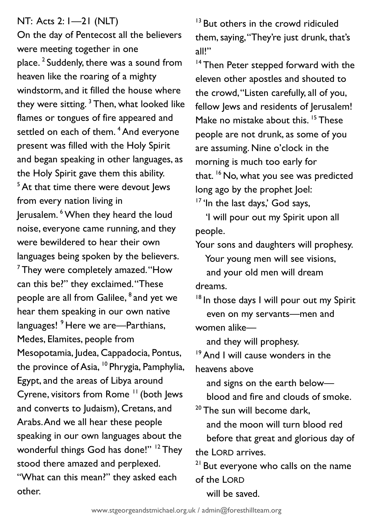#### NT: Acts 2: 1—21 (NLT)

On the day of Pentecost all the believers were meeting together in one place. <sup>2</sup> Suddenly, there was a sound from heaven like the roaring of a mighty windstorm, and it filled the house where they were sitting.  $3$  Then, what looked like flames or tongues of fire appeared and settled on each of them.<sup>4</sup> And everyone present was filled with the Holy Spirit and began speaking in other languages, as the Holy Spirit gave them this ability.  $5$  At that time there were devout Jews from every nation living in Jerusalem. <sup>6</sup>When they heard the loud noise, everyone came running, and they were bewildered to hear their own languages being spoken by the believers.  $<sup>7</sup>$  They were completely amazed. "How</sup> can this be?" they exclaimed. "These people are all from Galilee,  $^{\rm 8}$  and yet we hear them speaking in our own native languages!<sup>9</sup> Here we are—Parthians, Medes, Elamites, people from Mesopotamia, Judea, Cappadocia, Pontus, the province of Asia, <sup>10</sup> Phrygia, Pamphylia, Egypt, and the areas of Libya around Cyrene, visitors from Rome <sup>11</sup> (both Jews and converts to Judaism), Cretans, and Arabs. And we all hear these people speaking in our own languages about the wonderful things God has done!" <sup>12</sup> They stood there amazed and perplexed. "What can this mean?" they asked each other.

<sup>13</sup> But others in the crowd ridiculed them, saying, "They're just drunk, that's all!"

<sup>14</sup> Then Peter stepped forward with the eleven other apostles and shouted to the crowd, "Listen carefully, all of you, fellow lews and residents of lerusalem! Make no mistake about this.<sup>15</sup> These people are not drunk, as some of you are assuming. Nine o'clock in the morning is much too early for that. <sup>16</sup> No, what you see was predicted long ago by the prophet Joel:  $17$  'In the last days,' God says,

 'I will pour out my Spirit upon all people.

Your sons and daughters will prophesy.

 Your young men will see visions, and your old men will dream dreams.

<sup>18</sup> In those days I will pour out my Spirit even on my servants—men and women alike—

and they will prophesy.

<sup>19</sup> And I will cause wonders in the heavens above

 and signs on the earth below blood and fire and clouds of smoke.

 $20$  The sun will become dark, and the moon will turn blood red before that great and glorious day of the LORD arrives.

<sup>21</sup> But everyone who calls on the name of the LORD

will be saved.